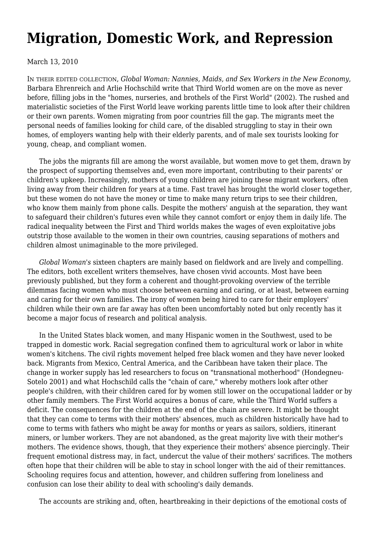## **[Migration, Domestic Work, and Repression](https://newpol.org/review/migration-domestic-work-and-repression/)**

March 13, 2010

IN THEIR EDITED COLLECTION, *Global Woman: Nannies, Maids, and Sex Workers in the New Economy*, Barbara Ehrenreich and Arlie Hochschild write that Third World women are on the move as never before, filling jobs in the "homes, nurseries, and brothels of the First World" (2002). The rushed and materialistic societies of the First World leave working parents little time to look after their children or their own parents. Women migrating from poor countries fill the gap. The migrants meet the personal needs of families looking for child care, of the disabled struggling to stay in their own homes, of employers wanting help with their elderly parents, and of male sex tourists looking for young, cheap, and compliant women.

 The jobs the migrants fill are among the worst available, but women move to get them, drawn by the prospect of supporting themselves and, even more important, contributing to their parents' or children's upkeep. Increasingly, mothers of young children are joining these migrant workers, often living away from their children for years at a time. Fast travel has brought the world closer together, but these women do not have the money or time to make many return trips to see their children, who know them mainly from phone calls. Despite the mothers' anguish at the separation, they want to safeguard their children's futures even while they cannot comfort or enjoy them in daily life. The radical inequality between the First and Third worlds makes the wages of even exploitative jobs outstrip those available to the women in their own countries, causing separations of mothers and children almost unimaginable to the more privileged.

 *Global Woman's* sixteen chapters are mainly based on fieldwork and are lively and compelling. The editors, both excellent writers themselves, have chosen vivid accounts. Most have been previously published, but they form a coherent and thought-provoking overview of the terrible dilemmas facing women who must choose between earning and caring, or at least, between earning and caring for their own families. The irony of women being hired to care for their employers' children while their own are far away has often been uncomfortably noted but only recently has it become a major focus of research and political analysis.

 In the United States black women, and many Hispanic women in the Southwest, used to be trapped in domestic work. Racial segregation confined them to agricultural work or labor in white women's kitchens. The civil rights movement helped free black women and they have never looked back. Migrants from Mexico, Central America, and the Caribbean have taken their place. The change in worker supply has led researchers to focus on "transnational motherhood" (Hondegneu-Sotelo 2001) and what Hochschild calls the "chain of care," whereby mothers look after other people's children, with their children cared for by women still lower on the occupational ladder or by other family members. The First World acquires a bonus of care, while the Third World suffers a deficit. The consequences for the children at the end of the chain are severe. It might be thought that they can come to terms with their mothers' absences, much as children historically have had to come to terms with fathers who might be away for months or years as sailors, soldiers, itinerant miners, or lumber workers. They are not abandoned, as the great majority live with their mother's mothers. The evidence shows, though, that they experience their mothers' absence piercingly. Their frequent emotional distress may, in fact, undercut the value of their mothers' sacrifices. The mothers often hope that their children will be able to stay in school longer with the aid of their remittances. Schooling requires focus and attention, however, and children suffering from loneliness and confusion can lose their ability to deal with schooling's daily demands.

The accounts are striking and, often, heartbreaking in their depictions of the emotional costs of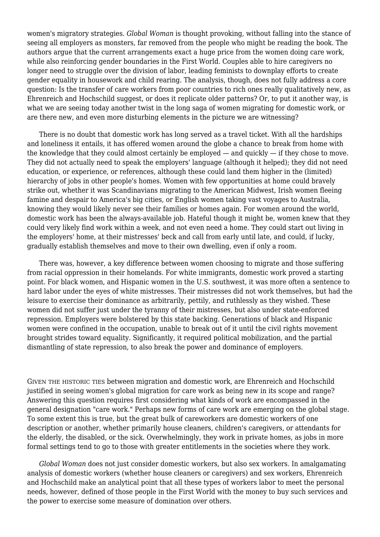women's migratory strategies. *Global Woman* is thought provoking, without falling into the stance of seeing all employers as monsters, far removed from the people who might be reading the book. The authors argue that the current arrangements exact a huge price from the women doing care work, while also reinforcing gender boundaries in the First World. Couples able to hire caregivers no longer need to struggle over the division of labor, leading feminists to downplay efforts to create gender equality in housework and child rearing. The analysis, though, does not fully address a core question: Is the transfer of care workers from poor countries to rich ones really qualitatively new, as Ehrenreich and Hochschild suggest, or does it replicate older patterns? Or, to put it another way, is what we are seeing today another twist in the long saga of women migrating for domestic work, or are there new, and even more disturbing elements in the picture we are witnessing?

 There is no doubt that domestic work has long served as a travel ticket. With all the hardships and loneliness it entails, it has offered women around the globe a chance to break from home with the knowledge that they could almost certainly be employed — and quickly — if they chose to move. They did not actually need to speak the employers' language (although it helped); they did not need education, or experience, or references, although these could land them higher in the (limited) hierarchy of jobs in other people's homes. Women with few opportunities at home could bravely strike out, whether it was Scandinavians migrating to the American Midwest, Irish women fleeing famine and despair to America's big cities, or English women taking vast voyages to Australia, knowing they would likely never see their families or homes again. For women around the world, domestic work has been the always-available job. Hateful though it might be, women knew that they could very likely find work within a week, and not even need a home. They could start out living in the employers' home, at their mistresses' beck and call from early until late, and could, if lucky, gradually establish themselves and move to their own dwelling, even if only a room.

 There was, however, a key difference between women choosing to migrate and those suffering from racial oppression in their homelands. For white immigrants, domestic work proved a starting point. For black women, and Hispanic women in the U.S. southwest, it was more often a sentence to hard labor under the eyes of white mistresses. Their mistresses did not work themselves, but had the leisure to exercise their dominance as arbitrarily, pettily, and ruthlessly as they wished. These women did not suffer just under the tyranny of their mistresses, but also under state-enforced repression. Employers were bolstered by this state backing. Generations of black and Hispanic women were confined in the occupation, unable to break out of it until the civil rights movement brought strides toward equality. Significantly, it required political mobilization, and the partial dismantling of state repression, to also break the power and dominance of employers.

GIVEN THE HISTORIC TIES between migration and domestic work, are Ehrenreich and Hochschild justified in seeing women's global migration for care work as being new in its scope and range? Answering this question requires first considering what kinds of work are encompassed in the general designation "care work." Perhaps new forms of care work are emerging on the global stage. To some extent this is true, but the great bulk of careworkers are domestic workers of one description or another, whether primarily house cleaners, children's caregivers, or attendants for the elderly, the disabled, or the sick. Overwhelmingly, they work in private homes, as jobs in more formal settings tend to go to those with greater entitlements in the societies where they work.

 *Global Woman* does not just consider domestic workers, but also sex workers. In amalgamating analysis of domestic workers (whether house cleaners or caregivers) and sex workers, Ehrenreich and Hochschild make an analytical point that all these types of workers labor to meet the personal needs, however, defined of those people in the First World with the money to buy such services and the power to exercise some measure of domination over others.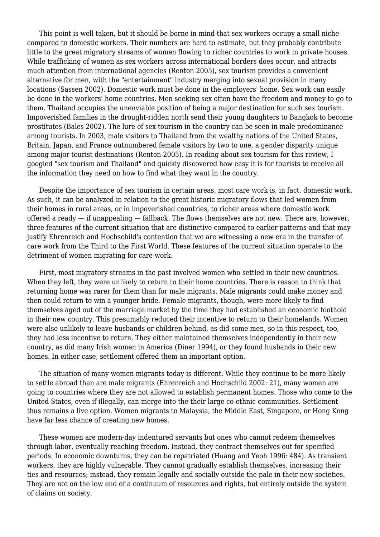This point is well taken, but it should be borne in mind that sex workers occupy a small niche compared to domestic workers. Their numbers are hard to estimate, but they probably contribute little to the great migratory streams of women flowing to richer countries to work in private houses. While trafficking of women as sex workers across international borders does occur, and attracts much attention from international agencies (Renton 2005), sex tourism provides a convenient alternative for men, with the "entertainment" industry merging into sexual provision in many locations (Sassen 2002). Domestic work must be done in the employers' home. Sex work can easily be done in the workers' home countries. Men seeking sex often have the freedom and money to go to them. Thailand occupies the unenviable position of being a major destination for such sex tourism. Impoverished families in the drought-ridden north send their young daughters to Bangkok to become prostitutes (Bales 2002). The lure of sex tourism in the country can be seen in male predominance among tourists. In 2003, male visitors to Thailand from the wealthy nations of the United States, Britain, Japan, and France outnumbered female visitors by two to one, a gender disparity unique among major tourist destinations (Renton 2005). In reading about sex tourism for this review, I googled "sex tourism and Thailand" and quickly discovered how easy it is for tourists to receive all the information they need on how to find what they want in the country.

 Despite the importance of sex tourism in certain areas, most care work is, in fact, domestic work. As such, it can be analyzed in relation to the great historic migratory flows that led women from their homes in rural areas, or in impoverished countries, to richer areas where domestic work offered a ready — if unappealing — fallback. The flows themselves are not new. There are, however, three features of the current situation that are distinctive compared to earlier patterns and that may justify Ehrenreich and Hochschild's contention that we are witnessing a new era in the transfer of care work from the Third to the First World. These features of the current situation operate to the detriment of women migrating for care work.

 First, most migratory streams in the past involved women who settled in their new countries. When they left, they were unlikely to return to their home countries. There is reason to think that returning home was rarer for them than for male migrants. Male migrants could make money and then could return to win a younger bride. Female migrants, though, were more likely to find themselves aged out of the marriage market by the time they had established an economic foothold in their new country. This presumably reduced their incentive to return to their homelands. Women were also unlikely to leave husbands or children behind, as did some men, so in this respect, too, they had less incentive to return. They either maintained themselves independently in their new country, as did many Irish women in America (Diner 1994), or they found husbands in their new homes. In either case, settlement offered them an important option.

 The situation of many women migrants today is different. While they continue to be more likely to settle abroad than are male migrants (Ehrenreich and Hochschild 2002: 21), many women are going to countries where they are not allowed to establish permanent homes. Those who come to the United States, even if illegally, can merge into the their large co-ethnic communities. Settlement thus remains a live option. Women migrants to Malaysia, the Middle East, Singapore, or Hong Kong have far less chance of creating new homes.

 These women are modern-day indentured servants but ones who cannot redeem themselves through labor, eventually reaching freedom. Instead, they contract themselves out for specified periods. In economic downturns, they can be repatriated (Huang and Yeoh 1996: 484). As transient workers, they are highly vulnerable. They cannot gradually establish themselves, increasing their ties and resources; instead, they remain legally and socially outside the pale in their new societies. They are not on the low end of a continuum of resources and rights, but entirely outside the system of claims on society.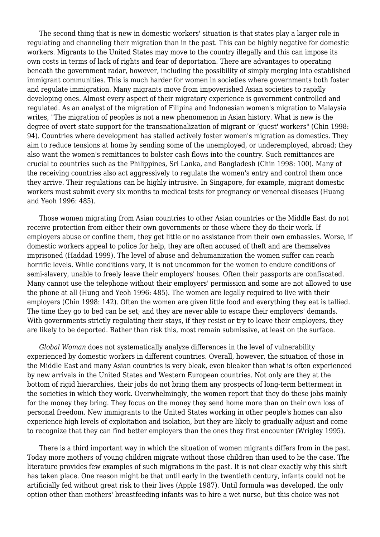The second thing that is new in domestic workers' situation is that states play a larger role in regulating and channeling their migration than in the past. This can be highly negative for domestic workers. Migrants to the United States may move to the country illegally and this can impose its own costs in terms of lack of rights and fear of deportation. There are advantages to operating beneath the government radar, however, including the possibility of simply merging into established immigrant communities. This is much harder for women in societies where governments both foster and regulate immigration. Many migrants move from impoverished Asian societies to rapidly developing ones. Almost every aspect of their migratory experience is government controlled and regulated. As an analyst of the migration of Filipina and Indonesian women's migration to Malaysia writes, "The migration of peoples is not a new phenomenon in Asian history. What is new is the degree of overt state support for the transnationalization of migrant or 'guest' workers" (Chin 1998: 94). Countries where development has stalled actively foster women's migration as domestics. They aim to reduce tensions at home by sending some of the unemployed, or underemployed, abroad; they also want the women's remittances to bolster cash flows into the country. Such remittances are crucial to countries such as the Philippines, Sri Lanka, and Bangladesh (Chin 1998: 100). Many of the receiving countries also act aggressively to regulate the women's entry and control them once they arrive. Their regulations can be highly intrusive. In Singapore, for example, migrant domestic workers must submit every six months to medical tests for pregnancy or venereal diseases (Huang and Yeoh 1996: 485).

 Those women migrating from Asian countries to other Asian countries or the Middle East do not receive protection from either their own governments or those where they do their work. If employers abuse or confine them, they get little or no assistance from their own embassies. Worse, if domestic workers appeal to police for help, they are often accused of theft and are themselves imprisoned (Haddad 1999). The level of abuse and dehumanization the women suffer can reach horrific levels. While conditions vary, it is not uncommon for the women to endure conditions of semi-slavery, unable to freely leave their employers' houses. Often their passports are confiscated. Many cannot use the telephone without their employers' permission and some are not allowed to use the phone at all (Hung and Yeoh 1996: 485). The women are legally required to live with their employers (Chin 1998: 142). Often the women are given little food and everything they eat is tallied. The time they go to bed can be set; and they are never able to escape their employers' demands. With governments strictly regulating their stays, if they resist or try to leave their employers, they are likely to be deported. Rather than risk this, most remain submissive, at least on the surface.

 *Global Woman* does not systematically analyze differences in the level of vulnerability experienced by domestic workers in different countries. Overall, however, the situation of those in the Middle East and many Asian countries is very bleak, even bleaker than what is often experienced by new arrivals in the United States and Western European countries. Not only are they at the bottom of rigid hierarchies, their jobs do not bring them any prospects of long-term betterment in the societies in which they work. Overwhelmingly, the women report that they do these jobs mainly for the money they bring. They focus on the money they send home more than on their own loss of personal freedom. New immigrants to the United States working in other people's homes can also experience high levels of exploitation and isolation, but they are likely to gradually adjust and come to recognize that they can find better employers than the ones they first encounter (Wrigley 1995).

 There is a third important way in which the situation of women migrants differs from in the past. Today more mothers of young children migrate without those children than used to be the case. The literature provides few examples of such migrations in the past. It is not clear exactly why this shift has taken place. One reason might be that until early in the twentieth century, infants could not be artificially fed without great risk to their lives (Apple 1987). Until formula was developed, the only option other than mothers' breastfeeding infants was to hire a wet nurse, but this choice was not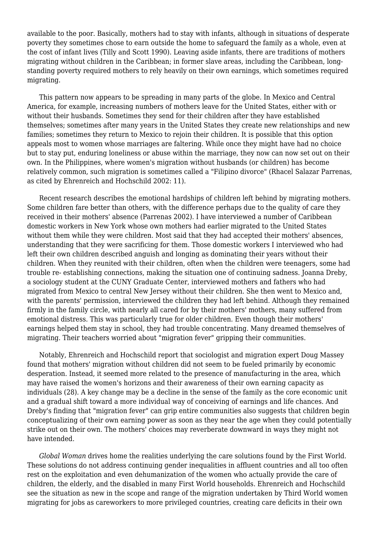available to the poor. Basically, mothers had to stay with infants, although in situations of desperate poverty they sometimes chose to earn outside the home to safeguard the family as a whole, even at the cost of infant lives (Tilly and Scott 1990). Leaving aside infants, there are traditions of mothers migrating without children in the Caribbean; in former slave areas, including the Caribbean, longstanding poverty required mothers to rely heavily on their own earnings, which sometimes required migrating.

 This pattern now appears to be spreading in many parts of the globe. In Mexico and Central America, for example, increasing numbers of mothers leave for the United States, either with or without their husbands. Sometimes they send for their children after they have established themselves; sometimes after many years in the United States they create new relationships and new families; sometimes they return to Mexico to rejoin their children. It is possible that this option appeals most to women whose marriages are faltering. While once they might have had no choice but to stay put, enduring loneliness or abuse within the marriage, they now can now set out on their own. In the Philippines, where women's migration without husbands (or children) has become relatively common, such migration is sometimes called a "Filipino divorce" (Rhacel Salazar Parrenas, as cited by Ehrenreich and Hochschild 2002: 11).

 Recent research describes the emotional hardships of children left behind by migrating mothers. Some children fare better than others, with the difference perhaps due to the quality of care they received in their mothers' absence (Parrenas 2002). I have interviewed a number of Caribbean domestic workers in New York whose own mothers had earlier migrated to the United States without them while they were children. Most said that they had accepted their mothers' absences, understanding that they were sacrificing for them. Those domestic workers I interviewed who had left their own children described anguish and longing as dominating their years without their children. When they reunited with their children, often when the children were teenagers, some had trouble re- establishing connections, making the situation one of continuing sadness. Joanna Dreby, a sociology student at the CUNY Graduate Center, interviewed mothers and fathers who had migrated from Mexico to central New Jersey without their children. She then went to Mexico and, with the parents' permission, interviewed the children they had left behind. Although they remained firmly in the family circle, with nearly all cared for by their mothers' mothers, many suffered from emotional distress. This was particularly true for older children. Even though their mothers' earnings helped them stay in school, they had trouble concentrating. Many dreamed themselves of migrating. Their teachers worried about "migration fever" gripping their communities.

 Notably, Ehrenreich and Hochschild report that sociologist and migration expert Doug Massey found that mothers' migration without children did not seem to be fueled primarily by economic desperation. Instead, it seemed more related to the presence of manufacturing in the area, which may have raised the women's horizons and their awareness of their own earning capacity as individuals (28). A key change may be a decline in the sense of the family as the core economic unit and a gradual shift toward a more individual way of conceiving of earnings and life chances. And Dreby's finding that "migration fever" can grip entire communities also suggests that children begin conceptualizing of their own earning power as soon as they near the age when they could potentially strike out on their own. The mothers' choices may reverberate downward in ways they might not have intended.

 *Global Woman* drives home the realities underlying the care solutions found by the First World. These solutions do not address continuing gender inequalities in affluent countries and all too often rest on the exploitation and even dehumanization of the women who actually provide the care of children, the elderly, and the disabled in many First World households. Ehrenreich and Hochschild see the situation as new in the scope and range of the migration undertaken by Third World women migrating for jobs as careworkers to more privileged countries, creating care deficits in their own